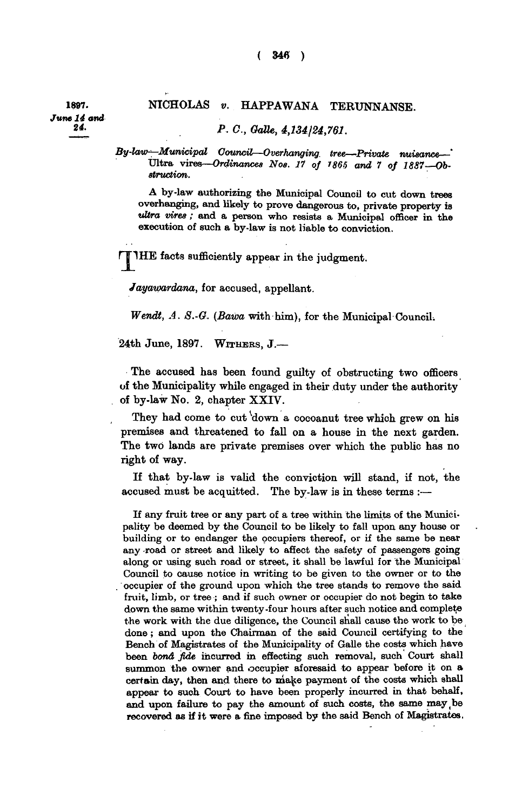## **1887. NICHOLAS** *v.* **HAPPAWANA TERUNNANSE.**

*- P.O., Galle, 4,134124,761.* 

*By-law^—Municipal Council—Overhanging, tree—Private nuisance—'*  **Ultra vires—***Ordinances Nos. 17 of 1865 and 7 of 1887 Obstruction.* 

**A by-law authorizing the Municipal Council to cut down trees overhanging, and likely to prove dangerous to, private property is**  *•ultra vires ;* **and a person who resists a Municipal officer in the execution of such a by-law is not liable to conviction.** 

**TIHE** facts sufficiently appear in the judgment.

*Jayawardana,* **for accused, appellant.** 

*Wendt, A. S.-G. (Bawa* **with him), for the Municipal Council.** 

**24th June, 1897. WITHERS , J.—** 

**The accused has been found guilty of obstructing two officers of the Municipality while engaged in their duty under the authority of by-law No. 2, chapter XXIV .** 

They had come to cut down a cocoanut tree which grew on his **premises and threatened to fall on a house in the next garden. The two lands are private premises over which the public has no right of way.** 

**If that by-law is valid the conviction will stand, if not, the accused must be acquitted. The by-law is in these terms :—** 

**If any fruit tree or any part of a tree within the limits of the Municipality be deemed by the Council to be likely to fall upon any house or building or to endanger the occupiers thereof, or if the same be near any road or street and likely to affect the safety of passengers going along or using such road or street, it shall be lawful for the Municipal Council to cause notice in writing to be given to the owner or to the . occupier of the ground upon which the tree stands to remove the said fruit, limb, or tree ; and if such owner or occupier do not begin to take down the same within twenty-four hours after such notice and complete the work with the due diligence, the Council shall cause the work to be done; and upon the Chairman of the said Council certifying to the Bench of Magistrates of the Municipality of Galle the costs which have been** *bond fide* **incurred in effecting such removal, such Court shall summon the owner and occupier aforesaid to appear before it on a certain day, then and there to make payment of the costs which shall appear to such Court to have been properly incurred in that behalf,**  and upon failure to pay the amount of such costs, the same may be **recovered as if it were a fine imposed by the said Bench of Magistrates.**